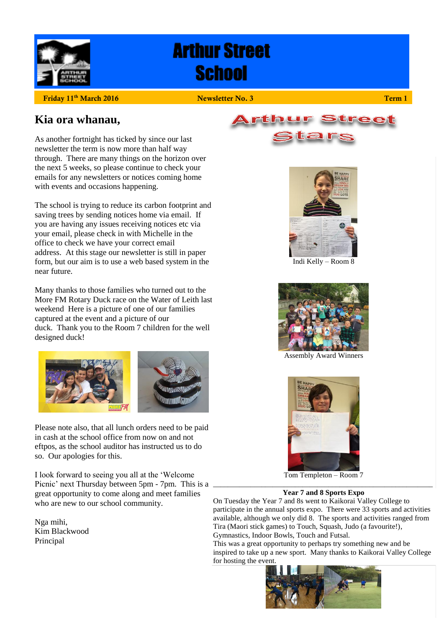

# **Arthur Street School**

**Friday 11th March 2016 Newsletter No. 3 Term 1**

## **Kia ora whanau,**

As another fortnight has ticked by since our last newsletter the term is now more than half way through. There are many things on the horizon over the next 5 weeks, so please continue to check your emails for any newsletters or notices coming home with events and occasions happening.

The school is trying to reduce its carbon footprint and saving trees by sending notices home via email. If you are having any issues receiving notices etc via your email, please check in with Michelle in the office to check we have your correct email address. At this stage our newsletter is still in paper form, but our aim is to use a web based system in the near future.

Many thanks to those families who turned out to the More FM Rotary Duck race on the Water of Leith last weekend Here is a picture of one of our families captured at the event and a picture of our duck. Thank you to the Room 7 children for the well designed duck!



Please note also, that all lunch orders need to be paid in cash at the school office from now on and not eftpos, as the school auditor has instructed us to do so. Our apologies for this.

I look forward to seeing you all at the 'Welcome Picnic' next Thursday between 5pm - 7pm. This is a great opportunity to come along and meet families who are new to our school community.

Nga mihi, Kim Blackwood Principal





Indi Kelly – Room 8



Assembly Award Winners



Tom Templeton – Room 7 \_\_\_\_\_\_\_\_\_\_\_\_\_\_\_\_\_\_\_\_\_\_\_\_\_\_\_\_\_\_\_\_\_\_\_\_\_\_\_\_\_\_\_\_\_\_\_\_\_\_\_\_\_\_\_\_\_\_\_

#### **Year 7 and 8 Sports Expo**

On Tuesday the Year 7 and 8s went to Kaikorai Valley College to participate in the annual sports expo. There were 33 sports and activities available, although we only did 8. The sports and activities ranged from Tira (Maori stick games) to Touch, Squash, Judo (a favourite!), Gymnastics, Indoor Bowls, Touch and Futsal.

This was a great opportunity to perhaps try something new and be inspired to take up a new sport. Many thanks to Kaikorai Valley College for hosting the event.